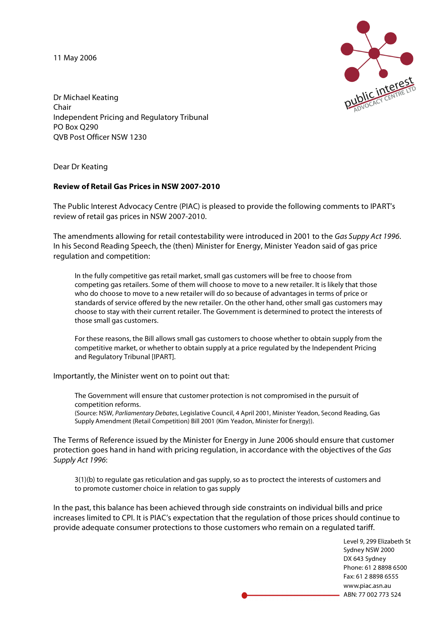11 May 2006



Dr Michael Keating Chair Independent Pricing and Regulatory Tribunal PO Box Q290 QVB Post Officer NSW 1230

Dear Dr Keating

#### **Review of Retail Gas Prices in NSW 2007-2010**

The Public Interest Advocacy Centre (PIAC) is pleased to provide the following comments to IPART's review of retail gas prices in NSW 2007-2010.

The amendments allowing for retail contestability were introduced in 2001 to the Gas Suppy Act 1996. In his Second Reading Speech, the (then) Minister for Energy, Minister Yeadon said of gas price regulation and competition:

In the fully competitive gas retail market, small gas customers will be free to choose from competing gas retailers. Some of them will choose to move to a new retailer. It is likely that those who do choose to move to a new retailer will do so because of advantages in terms of price or standards of service offered by the new retailer. On the other hand, other small gas customers may choose to stay with their current retailer. The Government is determined to protect the interests of those small gas customers.

For these reasons, the Bill allows small gas customers to choose whether to obtain supply from the competitive market, or whether to obtain supply at a price regulated by the Independent Pricing and Regulatory Tribunal [IPART].

Importantly, the Minister went on to point out that:

The Government will ensure that customer protection is not compromised in the pursuit of competition reforms. (Source: NSW, Parliamentary Debates, Legislative Council, 4 April 2001, Minister Yeadon, Second Reading, Gas

Supply Amendment (Retail Competition) Bill 2001 (Kim Yeadon, Minister for Energy)).

The Terms of Reference issued by the Minister for Energy in June 2006 should ensure that customer protection goes hand in hand with pricing regulation, in accordance with the objectives of the Gas Supply Act 1996:

3(1)(b) to regulate gas reticulation and gas supply, so as to proctect the interests of customers and to promote customer choice in relation to gas supply

In the past, this balance has been achieved through side constraints on individual bills and price increases limited to CPI. It is PIAC's expectation that the regulation of those prices should continue to provide adequate consumer protections to those customers who remain on a regulated tariff.

> Level 9, 299 Elizabeth St Sydney NSW 2000 DX 643 Sydney Phone: 61 2 8898 6500 Fax: 61 2 8898 6555 www.piac.asn.au ABN: 77 002 773 524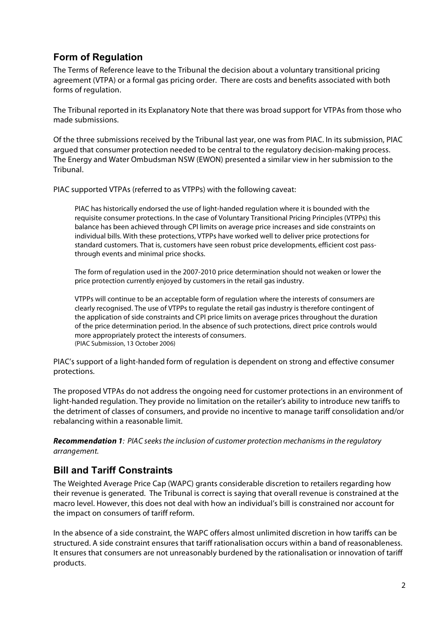# **Form of Regulation**

The Terms of Reference leave to the Tribunal the decision about a voluntary transitional pricing agreement (VTPA) or a formal gas pricing order. There are costs and benefits associated with both forms of regulation.

The Tribunal reported in its Explanatory Note that there was broad support for VTPAs from those who made submissions.

Of the three submissions received by the Tribunal last year, one was from PIAC. In its submission, PIAC argued that consumer protection needed to be central to the regulatory decision-making process. The Energy and Water Ombudsman NSW (EWON) presented a similar view in her submission to the Tribunal.

PIAC supported VTPAs (referred to as VTPPs) with the following caveat:

PIAC has historically endorsed the use of light-handed regulation where it is bounded with the requisite consumer protections. In the case of Voluntary Transitional Pricing Principles (VTPPs) this balance has been achieved through CPI limits on average price increases and side constraints on individual bills. With these protections, VTPPs have worked well to deliver price protections for standard customers. That is, customers have seen robust price developments, efficient cost passthrough events and minimal price shocks.

The form of regulation used in the 2007-2010 price determination should not weaken or lower the price protection currently enjoyed by customers in the retail gas industry.

VTPPs will continue to be an acceptable form of regulation where the interests of consumers are clearly recognised. The use of VTPPs to regulate the retail gas industry is therefore contingent of the application of side constraints and CPI price limits on average prices throughout the duration of the price determination period. In the absence of such protections, direct price controls would more appropriately protect the interests of consumers. (PIAC Submission, 13 October 2006)

PIAC's support of a light-handed form of regulation is dependent on strong and effective consumer protections.

The proposed VTPAs do not address the ongoing need for customer protections in an environment of light-handed regulation. They provide no limitation on the retailer's ability to introduce new tariffs to the detriment of classes of consumers, and provide no incentive to manage tariff consolidation and/or rebalancing within a reasonable limit.

**Recommendation 1**: PIAC seeksthe inclusion of customer protection mechanisms in the regulatory arrangement.

## **Bill and Tariff Constraints**

The Weighted Average Price Cap (WAPC) grants considerable discretion to retailers regarding how their revenue is generated. The Tribunal is correct is saying that overall revenue is constrained at the macro level. However, this does not deal with how an individual's bill is constrained nor account for the impact on consumers of tariff reform.

In the absence of a side constraint, the WAPC offers almost unlimited discretion in how tariffs can be structured. A side constraint ensures that tariff rationalisation occurs within a band of reasonableness. It ensures that consumers are not unreasonably burdened by the rationalisation or innovation of tariff products.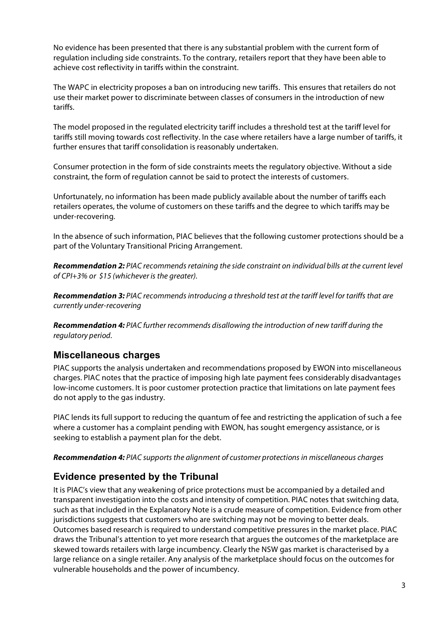No evidence has been presented that there is any substantial problem with the current form of regulation including side constraints. To the contrary, retailers report that they have been able to achieve cost reflectivity in tariffs within the constraint.

The WAPC in electricity proposes a ban on introducing new tariffs. This ensures that retailers do not use their market power to discriminate between classes of consumers in the introduction of new tariffs.

The model proposed in the regulated electricity tariff includes a threshold test at the tariff level for tariffs still moving towards cost reflectivity. In the case where retailers have a large number of tariffs, it further ensures that tariff consolidation is reasonably undertaken.

Consumer protection in the form of side constraints meets the regulatory objective. Without a side constraint, the form of regulation cannot be said to protect the interests of customers.

Unfortunately, no information has been made publicly available about the number of tariffs each retailers operates, the volume of customers on these tariffs and the degree to which tariffs may be under-recovering.

In the absence of such information, PIAC believes that the following customer protections should be a part of the Voluntary Transitional Pricing Arrangement.

**Recommendation 2:** PIAC recommends retaining the side constraint on individual bills at the current level of CPI+3% or \$15 (whichever is the greater).

**Recommendation 3:** PIAC recommends introducing a threshold test at the tariff level for tariffs that are currently under-recovering

**Recommendation 4:** PIAC further recommends disallowing the introduction of new tariff during the regulatory period.

### **Miscellaneous charges**

PIAC supports the analysis undertaken and recommendations proposed by EWON into miscellaneous charges. PIAC notes that the practice of imposing high late payment fees considerably disadvantages low-income customers. It is poor customer protection practice that limitations on late payment fees do not apply to the gas industry.

PIAC lends its full support to reducing the quantum of fee and restricting the application of such a fee where a customer has a complaint pending with EWON, has sought emergency assistance, or is seeking to establish a payment plan for the debt.

**Recommendation 4:** PIAC supports the alignment of customer protections in miscellaneous charges

## **Evidence presented by the Tribunal**

It is PIAC's view that any weakening of price protections must be accompanied by a detailed and transparent investigation into the costs and intensity of competition. PIAC notes that switching data, such as that included in the Explanatory Note is a crude measure of competition. Evidence from other jurisdictions suggests that customers who are switching may not be moving to better deals. Outcomes based research is required to understand competitive pressures in the market place. PIAC draws the Tribunal's attention to yet more research that argues the outcomes of the marketplace are skewed towards retailers with large incumbency. Clearly the NSW gas market is characterised by a large reliance on a single retailer. Any analysis of the marketplace should focus on the outcomes for vulnerable households and the power of incumbency.